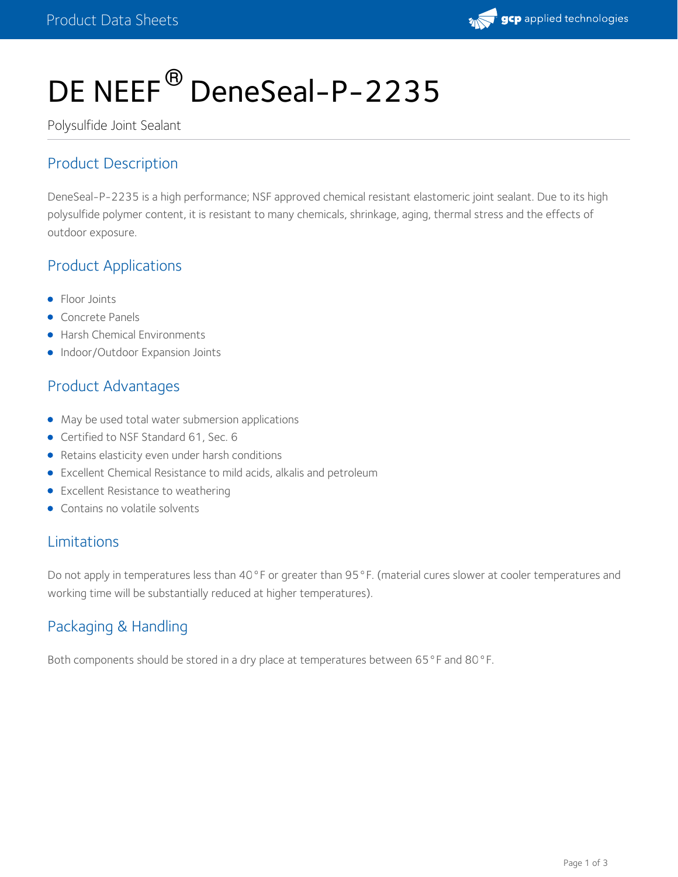

# DE NEEF<sup>®</sup> DeneSeal-P-2235

Polysulfide Joint Sealant

# Product Description

DeneSeal-P-2235 is a high performance; NSF approved chemical resistant elastomeric joint sealant. Due to its high polysulfide polymer content, it is resistant to many chemicals, shrinkage, aging, thermal stress and the effects of outdoor exposure.

# Product Applications

- Floor Joints
- **Concrete Panels**
- **Harsh Chemical Environments**
- Indoor/Outdoor Expansion Joints

## Product Advantages

- $\bullet$  May be used total water submersion applications
- Certified to NSF Standard 61, Sec. 6
- Retains elasticity even under harsh conditions
- Excellent Chemical Resistance to mild acids, alkalis and petroleum
- **•** Excellent Resistance to weathering
- Contains no volatile solvents

## Limitations

Do not apply in temperatures less than 40°F or greater than 95°F. (material cures slower at cooler temperatures and working time will be substantially reduced at higher temperatures).

# Packaging & Handling

Both components should be stored in a dry place at temperatures between 65°F and 80°F.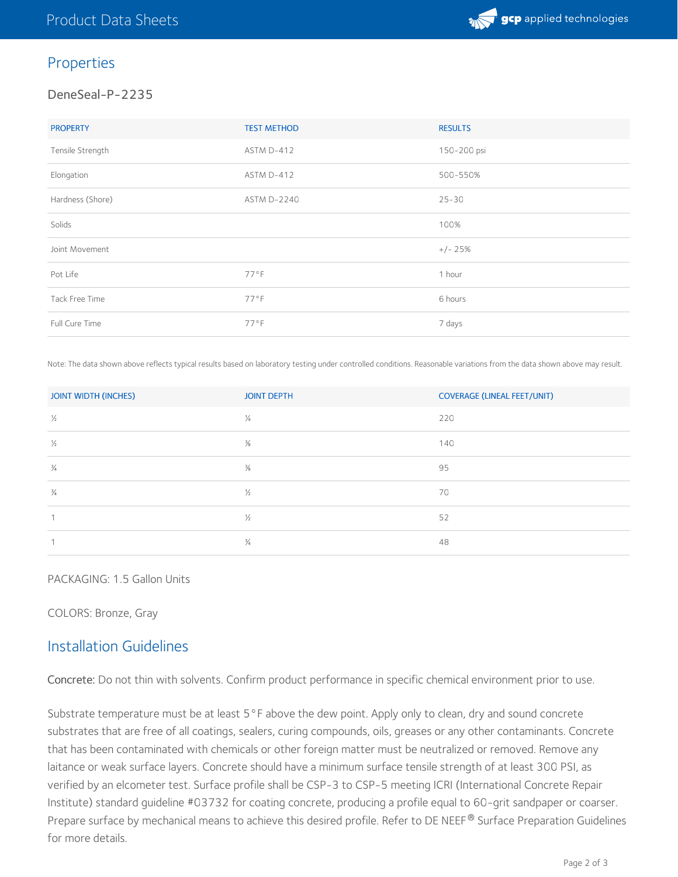

## Properties

#### DeneSeal-P-2235

| <b>PROPERTY</b>  | <b>TEST METHOD</b> | <b>RESULTS</b> |
|------------------|--------------------|----------------|
| Tensile Strength | ASTM D-412         | 150-200 psi    |
| Elongation       | ASTM D-412         | 500-550%       |
| Hardness (Shore) | <b>ASTM D-2240</b> | $25 - 30$      |
| Solids           |                    | 100%           |
| Joint Movement   |                    | $+/- 25%$      |
| Pot Life         | $77°$ F            | 1 hour         |
| Tack Free Time   | $77°$ F            | 6 hours        |
| Full Cure Time   | $77°$ F            | 7 days         |

Note: The data shown above reflects typical results based on laboratory testing under controlled conditions. Reasonable variations from the data shown above may result.

| <b>JOINT WIDTH (INCHES)</b> | <b>JOINT DEPTH</b> | <b>COVERAGE (LINEAL FEET/UNIT)</b> |
|-----------------------------|--------------------|------------------------------------|
| $\frac{1}{2}$               | $\frac{1}{4}$      | 220                                |
| $\frac{1}{2}$               | $\frac{3}{8}$      | 140                                |
| $\frac{3}{4}$               | $\frac{3}{8}$      | 95                                 |
| $\frac{3}{4}$               | $\frac{1}{2}$      | 70                                 |
|                             | $\frac{1}{2}$      | 52                                 |
|                             | $\frac{3}{4}$      | 48                                 |

#### PACKAGING: 1.5 Gallon Units

COLORS: Bronze, Gray

## Installation Guidelines

Concrete: Do not thin with solvents. Confirm product performance in specific chemical environment prior to use.

Substrate temperature must be at least 5°F above the dew point. Apply only to clean, dry and sound concrete substrates that are free of all coatings, sealers, curing compounds, oils, greases or any other contaminants. Concrete that has been contaminated with chemicals or other foreign matter must be neutralized or removed. Remove any laitance or weak surface layers. Concrete should have a minimum surface tensile strength of at least 300 PSI, as verified by an elcometer test. Surface profile shall be CSP-3 to CSP-5 meeting ICRI (International Concrete Repair Institute) standard guideline #03732 for coating concrete, producing a profile equal to 60-grit sandpaper or coarser. Prepare surface by mechanical means to achieve this desired profile. Refer to DE NEEF® Surface Preparation Guidelines for more details.